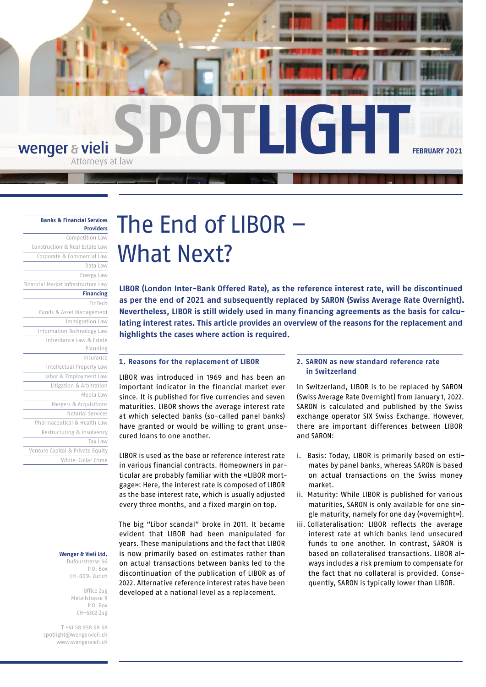**SPOTLIGHT** wenger & vieli **FEBRUARY 2021**

## **[Banks & Financial Services](https://www.wengervieli.ch/en-us/expertise/banken-finanzdienstleister)**

| <b>Providers</b>                    |
|-------------------------------------|
| Competition Law                     |
| Construction & Real Estate Law      |
| Corporate & Commercial Law          |
| Data Law                            |
| Energy Law                          |
| Financial Market Infrastructure Law |
| <b>Financing</b>                    |
| FinTech                             |
| Funds & Asset Management            |
| Immigration Law                     |
| Information Technology Law          |
| Inheritance Law & Estate            |
| Planning                            |
| Insurance                           |
| Intellectual Property Law           |
| Labor & Employment Law              |
| Litigation & Arbitration            |
| Media Law                           |
| Mergers & Acquisitions              |
| Notarial Services                   |
| Pharmaceutical & Health Law         |
| Restructuring & Insolvency          |
| Tax Law                             |
| Venture Capital & Private Equity    |
| White-Collar Crime                  |

#### **Wenger & Vieli Ltd.**

Dufourstrasse 56 P.O. Box CH-8034 Zurich

> Office Zug Metallstrasse 9 P.O. Box CH-6302 Zug

T +41 58 958 58 58 [spotlight@wengervieli.ch](mailto:spotlight@wengervieli.ch) [www.wengervieli.ch](http://www.wengervieli.ch/?lang=en-US)

# The End of LIBOR – What Next?

**LIBOR (London Inter-Bank Offered Rate), as the reference interest rate, will be discontinued as per the end of 2021 and subsequently replaced by SARON (Swiss Average Rate Overnight). Nevertheless, LIBOR is still widely used in many financing agreements as the basis for calculating interest rates. This article provides an overview of the reasons for the replacement and highlights the cases where action is required.** 

#### **1. Reasons for the replacement of LIBOR**

LIBOR was introduced in 1969 and has been an important indicator in the financial market ever since. It is published for five currencies and seven maturities. LIBOR shows the average interest rate at which selected banks (so-called panel banks) have granted or would be willing to grant unsecured loans to one another.

LIBOR is used as the base or reference interest rate in various financial contracts. Homeowners in particular are probably familiar with the «LIBOR mortgage»: Here, the interest rate is composed of LIBOR as the base interest rate, which is usually adjusted every three months, and a fixed margin on top.

The big "Libor scandal" broke in 2011. It became evident that LIBOR had been manipulated for years. These manipulations and the fact that LIBOR is now primarily based on estimates rather than on actual transactions between banks led to the discontinuation of the publication of LIBOR as of 2022. Alternative reference interest rates have been developed at a national level as a replacement.

## **2. SARON as new standard reference rate in Switzerland**

In Switzerland, LIBOR is to be replaced by SARON (Swiss Average Rate Overnight) from January 1, 2022. SARON is calculated and published by the Swiss exchange operator SIX Swiss Exchange. However, there are important differences between LIBOR and SARON:

- i. Basis: Today, LIBOR is primarily based on estimates by panel banks, whereas SARON is based on actual transactions on the Swiss money market.
- ii. Maturity: While LIBOR is published for various maturities, SARON is only available for one single maturity, namely for one day («overnight»).
- iii. Collateralisation: LIBOR reflects the average interest rate at which banks lend unsecured funds to one another. In contrast, SARON is based on collateralised transactions. LIBOR always includes a risk premium to compensate for the fact that no collateral is provided. Consequently, SARON is typically lower than LIBOR.